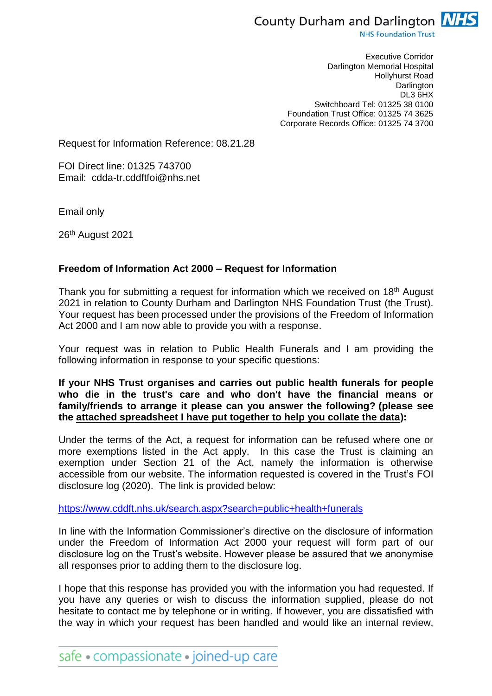

**NHS Foundation Trust** 

Executive Corridor Darlington Memorial Hospital Hollyhurst Road **Darlington** DL3 6HX Switchboard Tel: 01325 38 0100 Foundation Trust Office: 01325 74 3625 Corporate Records Office: 01325 74 3700

Request for Information Reference: 08.21.28

FOI Direct line: 01325 743700 Email: cdda-tr.cddftfoi@nhs.net

Email only

26<sup>th</sup> August 2021

## **Freedom of Information Act 2000 – Request for Information**

Thank you for submitting a request for information which we received on 18<sup>th</sup> August 2021 in relation to County Durham and Darlington NHS Foundation Trust (the Trust). Your request has been processed under the provisions of the Freedom of Information Act 2000 and I am now able to provide you with a response.

Your request was in relation to Public Health Funerals and I am providing the following information in response to your specific questions:

## **If your NHS Trust organises and carries out public health funerals for people who die in the trust's care and who don't have the financial means or family/friends to arrange it please can you answer the following? (please see the attached spreadsheet I have put together to help you collate the data):**

Under the terms of the Act, a request for information can be refused where one or more exemptions listed in the Act apply. In this case the Trust is claiming an exemption under Section 21 of the Act, namely the information is otherwise accessible from our website. The information requested is covered in the Trust's FOI disclosure log (2020). The link is provided below:

<https://www.cddft.nhs.uk/search.aspx?search=public+health+funerals>

In line with the Information Commissioner's directive on the disclosure of information under the Freedom of Information Act 2000 your request will form part of our disclosure log on the Trust's website. However please be assured that we anonymise all responses prior to adding them to the disclosure log.

I hope that this response has provided you with the information you had requested. If you have any queries or wish to discuss the information supplied, please do not hesitate to contact me by telephone or in writing. If however, you are dissatisfied with the way in which your request has been handled and would like an internal review,

safe • compassionate • joined-up care